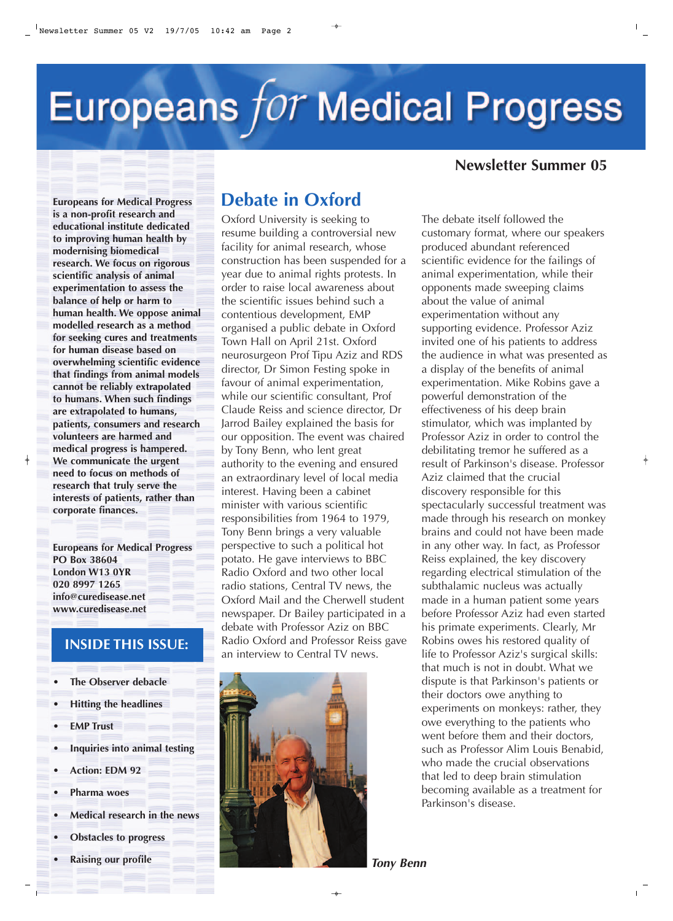# Europeans for Medical Progress

#### **Newsletter Summer 05**

**Europeans for Medical Progress is a non-profit research and educational institute dedicated to improving human health by modernising biomedical research. We focus on rigorous scientific analysis of animal experimentation to assess the balance of help or harm to human health. We oppose animal modelled research as a method for seeking cures and treatments for human disease based on overwhelming scientific evidence that findings from animal models cannot be reliably extrapolated to humans. When such findings are extrapolated to humans, patients, consumers and research volunteers are harmed and medical progress is hampered. We communicate the urgent need to focus on methods of research that truly serve the interests of patients, rather than corporate finances.**

**Europeans for Medical Progress PO Box 38604 London W13 0YR 020 8997 1265 info@curedisease.net www.curedisease.net**

#### **INSIDE THIS ISSUE:**

- **The Observer debacle**
- **Hitting the headlines**
- **EMP Trust**
- **Inquiries into animal testing**
- **Action: EDM 92**
- **Pharma woes**
- **Medical research in the news**
- **Obstacles to progress**
- **Raising our profile**

## **Debate in Oxford**

Oxford University is seeking to resume building a controversial new facility for animal research, whose construction has been suspended for a year due to animal rights protests. In order to raise local awareness about the scientific issues behind such a contentious development, EMP organised a public debate in Oxford Town Hall on April 21st. Oxford neurosurgeon Prof Tipu Aziz and RDS director, Dr Simon Festing spoke in favour of animal experimentation, while our scientific consultant, Prof Claude Reiss and science director, Dr Jarrod Bailey explained the basis for our opposition. The event was chaired by Tony Benn, who lent great authority to the evening and ensured an extraordinary level of local media interest. Having been a cabinet minister with various scientific responsibilities from 1964 to 1979, Tony Benn brings a very valuable perspective to such a political hot potato. He gave interviews to BBC Radio Oxford and two other local radio stations, Central TV news, the Oxford Mail and the Cherwell student newspaper. Dr Bailey participated in a debate with Professor Aziz on BBC Radio Oxford and Professor Reiss gave an interview to Central TV news.



The debate itself followed the customary format, where our speakers produced abundant referenced scientific evidence for the failings of animal experimentation, while their opponents made sweeping claims about the value of animal experimentation without any supporting evidence. Professor Aziz invited one of his patients to address the audience in what was presented as a display of the benefits of animal experimentation. Mike Robins gave a powerful demonstration of the effectiveness of his deep brain stimulator, which was implanted by Professor Aziz in order to control the debilitating tremor he suffered as a result of Parkinson's disease. Professor Aziz claimed that the crucial discovery responsible for this spectacularly successful treatment was made through his research on monkey brains and could not have been made in any other way. In fact, as Professor Reiss explained, the key discovery regarding electrical stimulation of the subthalamic nucleus was actually made in a human patient some years before Professor Aziz had even started his primate experiments. Clearly, Mr Robins owes his restored quality of life to Professor Aziz's surgical skills: that much is not in doubt. What we dispute is that Parkinson's patients or their doctors owe anything to experiments on monkeys: rather, they owe everything to the patients who went before them and their doctors, such as Professor Alim Louis Benabid, who made the crucial observations that led to deep brain stimulation becoming available as a treatment for Parkinson's disease.

*Tony Benn*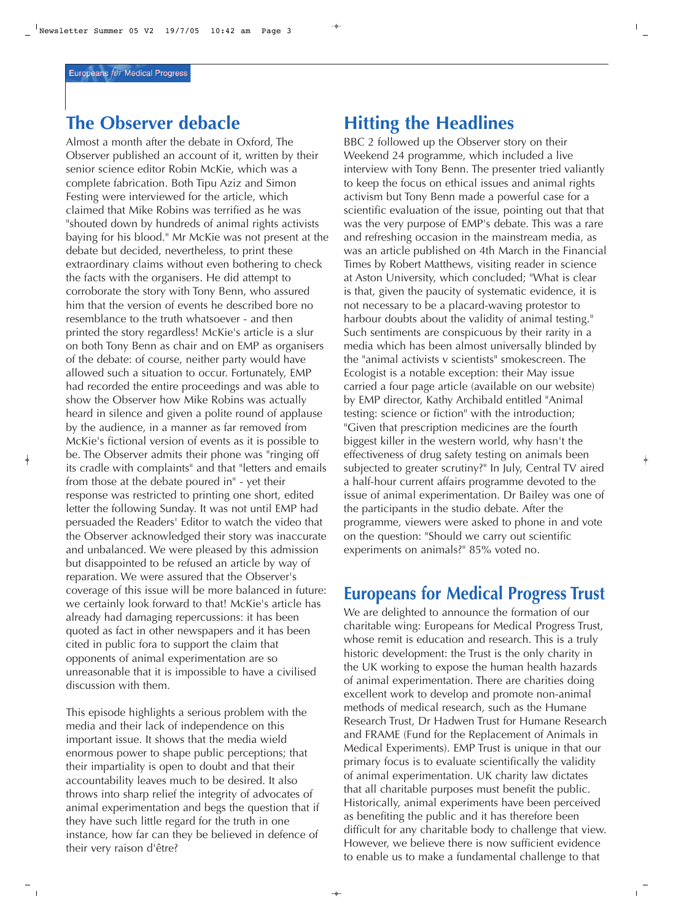# **The Observer debacle**

Almost a month after the debate in Oxford, The Observer published an account of it, written by their senior science editor Robin McKie, which was a complete fabrication. Both Tipu Aziz and Simon Festing were interviewed for the article, which claimed that Mike Robins was terrified as he was "shouted down by hundreds of animal rights activists baying for his blood." Mr McKie was not present at the debate but decided, nevertheless, to print these extraordinary claims without even bothering to check the facts with the organisers. He did attempt to corroborate the story with Tony Benn, who assured him that the version of events he described bore no resemblance to the truth whatsoever - and then printed the story regardless! McKie's article is a slur on both Tony Benn as chair and on EMP as organisers of the debate: of course, neither party would have allowed such a situation to occur. Fortunately, EMP had recorded the entire proceedings and was able to show the Observer how Mike Robins was actually heard in silence and given a polite round of applause by the audience, in a manner as far removed from McKie's fictional version of events as it is possible to be. The Observer admits their phone was "ringing off its cradle with complaints" and that "letters and emails from those at the debate poured in" - yet their response was restricted to printing one short, edited letter the following Sunday. It was not until EMP had persuaded the Readers' Editor to watch the video that the Observer acknowledged their story was inaccurate and unbalanced. We were pleased by this admission but disappointed to be refused an article by way of reparation. We were assured that the Observer's coverage of this issue will be more balanced in future: we certainly look forward to that! McKie's article has already had damaging repercussions: it has been quoted as fact in other newspapers and it has been cited in public fora to support the claim that opponents of animal experimentation are so unreasonable that it is impossible to have a civilised discussion with them.

This episode highlights a serious problem with the media and their lack of independence on this important issue. It shows that the media wield enormous power to shape public perceptions; that their impartiality is open to doubt and that their accountability leaves much to be desired. It also throws into sharp relief the integrity of advocates of animal experimentation and begs the question that if they have such little regard for the truth in one instance, how far can they be believed in defence of their very raison d'être?

#### **Hitting the Headlines**

BBC 2 followed up the Observer story on their Weekend 24 programme, which included a live interview with Tony Benn. The presenter tried valiantly to keep the focus on ethical issues and animal rights activism but Tony Benn made a powerful case for a scientific evaluation of the issue, pointing out that that was the very purpose of EMP's debate. This was a rare and refreshing occasion in the mainstream media, as was an article published on 4th March in the Financial Times by Robert Matthews, visiting reader in science at Aston University, which concluded; "What is clear is that, given the paucity of systematic evidence, it is not necessary to be a placard-waving protestor to harbour doubts about the validity of animal testing." Such sentiments are conspicuous by their rarity in a media which has been almost universally blinded by the "animal activists v scientists" smokescreen. The Ecologist is a notable exception: their May issue carried a four page article (available on our website) by EMP director, Kathy Archibald entitled "Animal testing: science or fiction" with the introduction; "Given that prescription medicines are the fourth biggest killer in the western world, why hasn't the effectiveness of drug safety testing on animals been subjected to greater scrutiny?" In July, Central TV aired a half-hour current affairs programme devoted to the issue of animal experimentation. Dr Bailey was one of the participants in the studio debate. After the programme, viewers were asked to phone in and vote on the question: "Should we carry out scientific experiments on animals?" 85% voted no.

#### **Europeans for Medical Progress Trust**

We are delighted to announce the formation of our charitable wing: Europeans for Medical Progress Trust, whose remit is education and research. This is a truly historic development: the Trust is the only charity in the UK working to expose the human health hazards of animal experimentation. There are charities doing excellent work to develop and promote non-animal methods of medical research, such as the Humane Research Trust, Dr Hadwen Trust for Humane Research and FRAME (Fund for the Replacement of Animals in Medical Experiments). EMP Trust is unique in that our primary focus is to evaluate scientifically the validity of animal experimentation. UK charity law dictates that all charitable purposes must benefit the public. Historically, animal experiments have been perceived as benefiting the public and it has therefore been difficult for any charitable body to challenge that view. However, we believe there is now sufficient evidence to enable us to make a fundamental challenge to that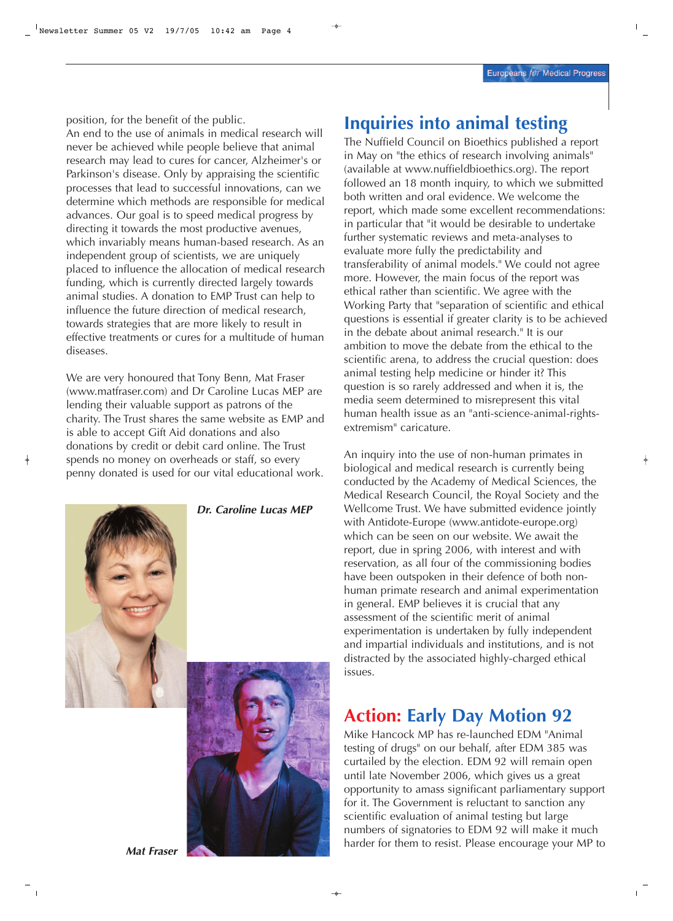position, for the benefit of the public.

An end to the use of animals in medical research will never be achieved while people believe that animal research may lead to cures for cancer, Alzheimer's or Parkinson's disease. Only by appraising the scientific processes that lead to successful innovations, can we determine which methods are responsible for medical advances. Our goal is to speed medical progress by directing it towards the most productive avenues, which invariably means human-based research. As an independent group of scientists, we are uniquely placed to influence the allocation of medical research funding, which is currently directed largely towards animal studies. A donation to EMP Trust can help to influence the future direction of medical research, towards strategies that are more likely to result in effective treatments or cures for a multitude of human diseases.

We are very honoured that Tony Benn, Mat Fraser (www.matfraser.com) and Dr Caroline Lucas MEP are lending their valuable support as patrons of the charity. The Trust shares the same website as EMP and is able to accept Gift Aid donations and also donations by credit or debit card online. The Trust spends no money on overheads or staff, so every penny donated is used for our vital educational work.



*Dr. Caroline Lucas MEP*



#### **Inquiries into animal testing**

The Nuffield Council on Bioethics published a report in May on "the ethics of research involving animals" (available at www.nuffieldbioethics.org). The report followed an 18 month inquiry, to which we submitted both written and oral evidence. We welcome the report, which made some excellent recommendations: in particular that "it would be desirable to undertake further systematic reviews and meta-analyses to evaluate more fully the predictability and transferability of animal models." We could not agree more. However, the main focus of the report was ethical rather than scientific. We agree with the Working Party that "separation of scientific and ethical questions is essential if greater clarity is to be achieved in the debate about animal research." It is our ambition to move the debate from the ethical to the scientific arena, to address the crucial question: does animal testing help medicine or hinder it? This question is so rarely addressed and when it is, the media seem determined to misrepresent this vital human health issue as an "anti-science-animal-rightsextremism" caricature.

An inquiry into the use of non-human primates in biological and medical research is currently being conducted by the Academy of Medical Sciences, the Medical Research Council, the Royal Society and the Wellcome Trust. We have submitted evidence jointly with Antidote-Europe (www.antidote-europe.org) which can be seen on our website. We await the report, due in spring 2006, with interest and with reservation, as all four of the commissioning bodies have been outspoken in their defence of both nonhuman primate research and animal experimentation in general. EMP believes it is crucial that any assessment of the scientific merit of animal experimentation is undertaken by fully independent and impartial individuals and institutions, and is not distracted by the associated highly-charged ethical issues.

#### **Action: Early Day Motion 92**

Mike Hancock MP has re-launched EDM "Animal testing of drugs" on our behalf, after EDM 385 was curtailed by the election. EDM 92 will remain open until late November 2006, which gives us a great opportunity to amass significant parliamentary support for it. The Government is reluctant to sanction any scientific evaluation of animal testing but large numbers of signatories to EDM 92 will make it much harder for them to resist. Please encourage your MP to

*Mat Fraser*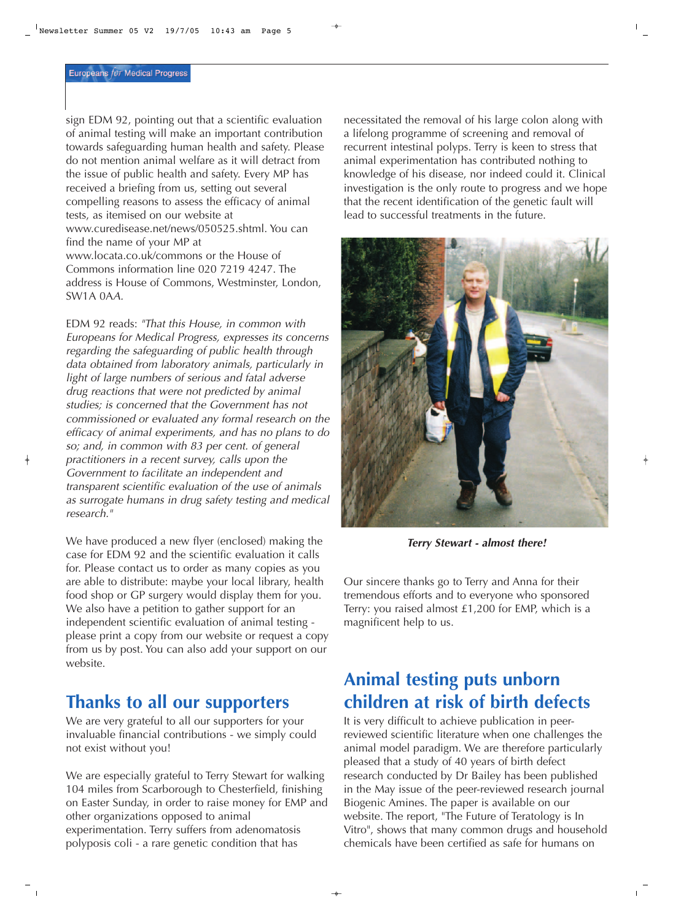sign EDM 92, pointing out that a scientific evaluation of animal testing will make an important contribution towards safeguarding human health and safety. Please do not mention animal welfare as it will detract from the issue of public health and safety. Every MP has received a briefing from us, setting out several compelling reasons to assess the efficacy of animal tests, as itemised on our website at www.curedisease.net/news/050525.shtml. You can find the name of your MP at www.locata.co.uk/commons or the House of Commons information line 020 7219 4247. The address is House of Commons, Westminster, London, SW1A 0A*A.*

EDM 92 reads: *"That this House, in common with Europeans for Medical Progress, expresses its concerns regarding the safeguarding of public health through data obtained from laboratory animals, particularly in light of large numbers of serious and fatal adverse drug reactions that were not predicted by animal studies; is concerned that the Government has not commissioned or evaluated any formal research on the efficacy of animal experiments, and has no plans to do so; and, in common with 83 per cent. of general practitioners in a recent survey, calls upon the Government to facilitate an independent and transparent scientific evaluation of the use of animals as surrogate humans in drug safety testing and medical research."*

We have produced a new flyer (enclosed) making the case for EDM 92 and the scientific evaluation it calls for. Please contact us to order as many copies as you are able to distribute: maybe your local library, health food shop or GP surgery would display them for you. We also have a petition to gather support for an independent scientific evaluation of animal testing please print a copy from our website or request a copy from us by post. You can also add your support on our website.

### **Thanks to all our supporters**

We are very grateful to all our supporters for your invaluable financial contributions - we simply could not exist without you!

We are especially grateful to Terry Stewart for walking 104 miles from Scarborough to Chesterfield, finishing on Easter Sunday, in order to raise money for EMP and other organizations opposed to animal experimentation. Terry suffers from adenomatosis polyposis coli - a rare genetic condition that has

necessitated the removal of his large colon along with a lifelong programme of screening and removal of recurrent intestinal polyps. Terry is keen to stress that animal experimentation has contributed nothing to knowledge of his disease, nor indeed could it. Clinical investigation is the only route to progress and we hope that the recent identification of the genetic fault will lead to successful treatments in the future.



*Terry Stewart - almost there!*

Our sincere thanks go to Terry and Anna for their tremendous efforts and to everyone who sponsored Terry: you raised almost £1,200 for EMP, which is a magnificent help to us.

## **Animal testing puts unborn children at risk of birth defects**

It is very difficult to achieve publication in peerreviewed scientific literature when one challenges the animal model paradigm. We are therefore particularly pleased that a study of 40 years of birth defect research conducted by Dr Bailey has been published in the May issue of the peer-reviewed research journal Biogenic Amines. The paper is available on our website. The report, "The Future of Teratology is In Vitro", shows that many common drugs and household chemicals have been certified as safe for humans on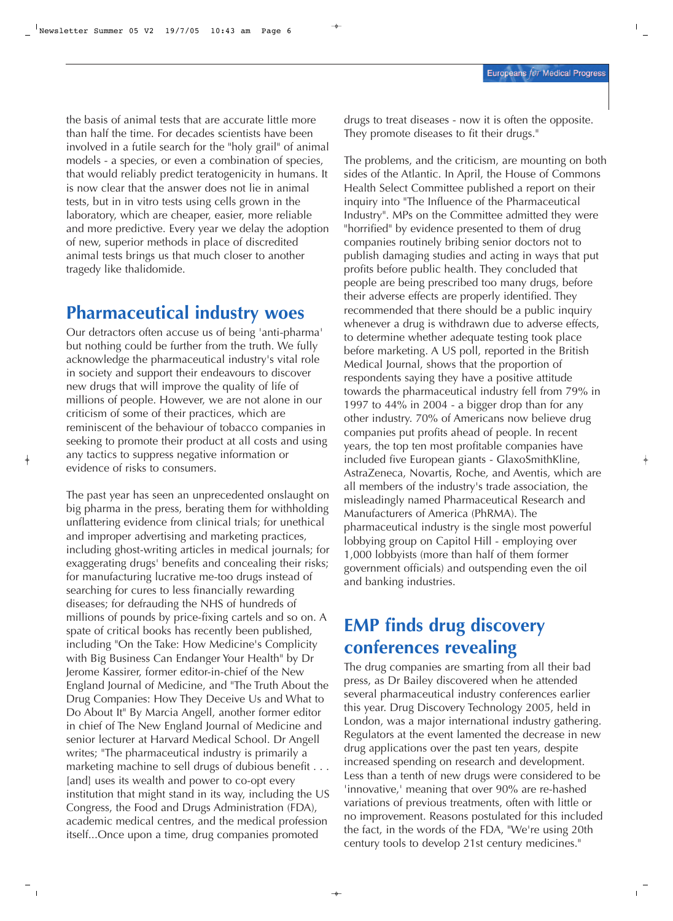the basis of animal tests that are accurate little more than half the time. For decades scientists have been involved in a futile search for the "holy grail" of animal models - a species, or even a combination of species, that would reliably predict teratogenicity in humans. It is now clear that the answer does not lie in animal tests, but in in vitro tests using cells grown in the laboratory, which are cheaper, easier, more reliable and more predictive. Every year we delay the adoption of new, superior methods in place of discredited animal tests brings us that much closer to another tragedy like thalidomide.

## **Pharmaceutical industry woes**

Our detractors often accuse us of being 'anti-pharma' but nothing could be further from the truth. We fully acknowledge the pharmaceutical industry's vital role in society and support their endeavours to discover new drugs that will improve the quality of life of millions of people. However, we are not alone in our criticism of some of their practices, which are reminiscent of the behaviour of tobacco companies in seeking to promote their product at all costs and using any tactics to suppress negative information or evidence of risks to consumers.

The past year has seen an unprecedented onslaught on big pharma in the press, berating them for withholding unflattering evidence from clinical trials; for unethical and improper advertising and marketing practices, including ghost-writing articles in medical journals; for exaggerating drugs' benefits and concealing their risks; for manufacturing lucrative me-too drugs instead of searching for cures to less financially rewarding diseases; for defrauding the NHS of hundreds of millions of pounds by price-fixing cartels and so on. A spate of critical books has recently been published, including "On the Take: How Medicine's Complicity with Big Business Can Endanger Your Health" by Dr Jerome Kassirer, former editor-in-chief of the New England Journal of Medicine, and "The Truth About the Drug Companies: How They Deceive Us and What to Do About It" By Marcia Angell, another former editor in chief of The New England Journal of Medicine and senior lecturer at Harvard Medical School. Dr Angell writes; "The pharmaceutical industry is primarily a marketing machine to sell drugs of dubious benefit . . . [and] uses its wealth and power to co-opt every institution that might stand in its way, including the US Congress, the Food and Drugs Administration (FDA), academic medical centres, and the medical profession itself...Once upon a time, drug companies promoted

drugs to treat diseases - now it is often the opposite. They promote diseases to fit their drugs."

The problems, and the criticism, are mounting on both sides of the Atlantic. In April, the House of Commons Health Select Committee published a report on their inquiry into "The Influence of the Pharmaceutical Industry". MPs on the Committee admitted they were "horrified" by evidence presented to them of drug companies routinely bribing senior doctors not to publish damaging studies and acting in ways that put profits before public health. They concluded that people are being prescribed too many drugs, before their adverse effects are properly identified. They recommended that there should be a public inquiry whenever a drug is withdrawn due to adverse effects, to determine whether adequate testing took place before marketing. A US poll, reported in the British Medical Journal, shows that the proportion of respondents saying they have a positive attitude towards the pharmaceutical industry fell from 79% in 1997 to 44% in 2004 - a bigger drop than for any other industry. 70% of Americans now believe drug companies put profits ahead of people. In recent years, the top ten most profitable companies have included five European giants - GlaxoSmithKline, AstraZeneca, Novartis, Roche, and Aventis, which are all members of the industry's trade association, the misleadingly named Pharmaceutical Research and Manufacturers of America (PhRMA). The pharmaceutical industry is the single most powerful lobbying group on Capitol Hill - employing over 1,000 lobbyists (more than half of them former government officials) and outspending even the oil and banking industries.

# **EMP finds drug discovery conferences revealing**

The drug companies are smarting from all their bad press, as Dr Bailey discovered when he attended several pharmaceutical industry conferences earlier this year. Drug Discovery Technology 2005, held in London, was a major international industry gathering. Regulators at the event lamented the decrease in new drug applications over the past ten years, despite increased spending on research and development. Less than a tenth of new drugs were considered to be 'innovative,' meaning that over 90% are re-hashed variations of previous treatments, often with little or no improvement. Reasons postulated for this included the fact, in the words of the FDA, "We're using 20th century tools to develop 21st century medicines."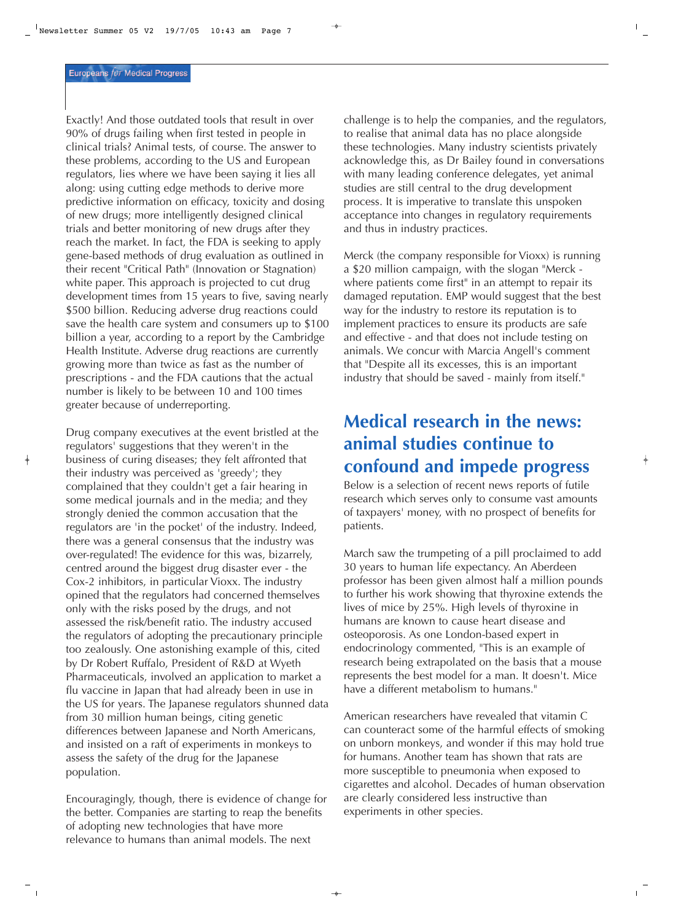Exactly! And those outdated tools that result in over 90% of drugs failing when first tested in people in clinical trials? Animal tests, of course. The answer to these problems, according to the US and European regulators, lies where we have been saying it lies all along: using cutting edge methods to derive more predictive information on efficacy, toxicity and dosing of new drugs; more intelligently designed clinical trials and better monitoring of new drugs after they reach the market. In fact, the FDA is seeking to apply gene-based methods of drug evaluation as outlined in their recent "Critical Path" (Innovation or Stagnation) white paper. This approach is projected to cut drug development times from 15 years to five, saving nearly \$500 billion. Reducing adverse drug reactions could save the health care system and consumers up to \$100 billion a year, according to a report by the Cambridge Health Institute. Adverse drug reactions are currently growing more than twice as fast as the number of prescriptions - and the FDA cautions that the actual number is likely to be between 10 and 100 times greater because of underreporting.

Drug company executives at the event bristled at the regulators' suggestions that they weren't in the business of curing diseases; they felt affronted that their industry was perceived as 'greedy'; they complained that they couldn't get a fair hearing in some medical journals and in the media; and they strongly denied the common accusation that the regulators are 'in the pocket' of the industry. Indeed, there was a general consensus that the industry was over-regulated! The evidence for this was, bizarrely, centred around the biggest drug disaster ever - the Cox-2 inhibitors, in particular Vioxx. The industry opined that the regulators had concerned themselves only with the risks posed by the drugs, and not assessed the risk/benefit ratio. The industry accused the regulators of adopting the precautionary principle too zealously. One astonishing example of this, cited by Dr Robert Ruffalo, President of R&D at Wyeth Pharmaceuticals, involved an application to market a flu vaccine in Japan that had already been in use in the US for years. The Japanese regulators shunned data from 30 million human beings, citing genetic differences between Japanese and North Americans, and insisted on a raft of experiments in monkeys to assess the safety of the drug for the Japanese population.

Encouragingly, though, there is evidence of change for the better. Companies are starting to reap the benefits of adopting new technologies that have more relevance to humans than animal models. The next

challenge is to help the companies, and the regulators, to realise that animal data has no place alongside these technologies. Many industry scientists privately acknowledge this, as Dr Bailey found in conversations with many leading conference delegates, yet animal studies are still central to the drug development process. It is imperative to translate this unspoken acceptance into changes in regulatory requirements and thus in industry practices.

Merck (the company responsible for Vioxx) is running a \$20 million campaign, with the slogan "Merck where patients come first" in an attempt to repair its damaged reputation. EMP would suggest that the best way for the industry to restore its reputation is to implement practices to ensure its products are safe and effective - and that does not include testing on animals. We concur with Marcia Angell's comment that "Despite all its excesses, this is an important industry that should be saved - mainly from itself."

# **Medical research in the news: animal studies continue to confound and impede progress**

Below is a selection of recent news reports of futile research which serves only to consume vast amounts of taxpayers' money, with no prospect of benefits for patients.

March saw the trumpeting of a pill proclaimed to add 30 years to human life expectancy. An Aberdeen professor has been given almost half a million pounds to further his work showing that thyroxine extends the lives of mice by 25%. High levels of thyroxine in humans are known to cause heart disease and osteoporosis. As one London-based expert in endocrinology commented, "This is an example of research being extrapolated on the basis that a mouse represents the best model for a man. It doesn't. Mice have a different metabolism to humans."

American researchers have revealed that vitamin C can counteract some of the harmful effects of smoking on unborn monkeys, and wonder if this may hold true for humans. Another team has shown that rats are more susceptible to pneumonia when exposed to cigarettes and alcohol. Decades of human observation are clearly considered less instructive than experiments in other species.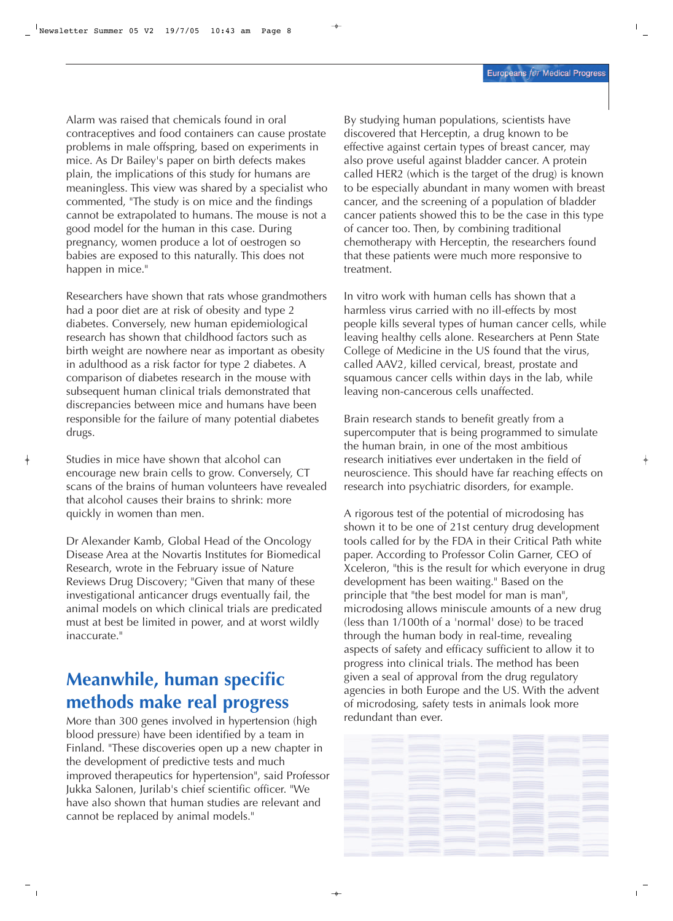Alarm was raised that chemicals found in oral contraceptives and food containers can cause prostate problems in male offspring, based on experiments in mice. As Dr Bailey's paper on birth defects makes plain, the implications of this study for humans are meaningless. This view was shared by a specialist who commented, "The study is on mice and the findings cannot be extrapolated to humans. The mouse is not a good model for the human in this case. During pregnancy, women produce a lot of oestrogen so babies are exposed to this naturally. This does not happen in mice."

Researchers have shown that rats whose grandmothers had a poor diet are at risk of obesity and type 2 diabetes. Conversely, new human epidemiological research has shown that childhood factors such as birth weight are nowhere near as important as obesity in adulthood as a risk factor for type 2 diabetes. A comparison of diabetes research in the mouse with subsequent human clinical trials demonstrated that discrepancies between mice and humans have been responsible for the failure of many potential diabetes drugs.

Studies in mice have shown that alcohol can encourage new brain cells to grow. Conversely, CT scans of the brains of human volunteers have revealed that alcohol causes their brains to shrink: more quickly in women than men.

Dr Alexander Kamb, Global Head of the Oncology Disease Area at the Novartis Institutes for Biomedical Research, wrote in the February issue of Nature Reviews Drug Discovery; "Given that many of these investigational anticancer drugs eventually fail, the animal models on which clinical trials are predicated must at best be limited in power, and at worst wildly inaccurate."

# **Meanwhile, human specific methods make real progress**

More than 300 genes involved in hypertension (high blood pressure) have been identified by a team in Finland. "These discoveries open up a new chapter in the development of predictive tests and much improved therapeutics for hypertension", said Professor Jukka Salonen, Jurilab's chief scientific officer. "We have also shown that human studies are relevant and cannot be replaced by animal models."

By studying human populations, scientists have discovered that Herceptin, a drug known to be effective against certain types of breast cancer, may also prove useful against bladder cancer. A protein called HER2 (which is the target of the drug) is known to be especially abundant in many women with breast cancer, and the screening of a population of bladder cancer patients showed this to be the case in this type of cancer too. Then, by combining traditional chemotherapy with Herceptin, the researchers found that these patients were much more responsive to treatment.

In vitro work with human cells has shown that a harmless virus carried with no ill-effects by most people kills several types of human cancer cells, while leaving healthy cells alone. Researchers at Penn State College of Medicine in the US found that the virus, called AAV2, killed cervical, breast, prostate and squamous cancer cells within days in the lab, while leaving non-cancerous cells unaffected.

Brain research stands to benefit greatly from a supercomputer that is being programmed to simulate the human brain, in one of the most ambitious research initiatives ever undertaken in the field of neuroscience. This should have far reaching effects on research into psychiatric disorders, for example.

A rigorous test of the potential of microdosing has shown it to be one of 21st century drug development tools called for by the FDA in their Critical Path white paper. According to Professor Colin Garner, CEO of Xceleron, "this is the result for which everyone in drug development has been waiting." Based on the principle that "the best model for man is man", microdosing allows miniscule amounts of a new drug (less than 1/100th of a 'normal' dose) to be traced through the human body in real-time, revealing aspects of safety and efficacy sufficient to allow it to progress into clinical trials. The method has been given a seal of approval from the drug regulatory agencies in both Europe and the US. With the advent of microdosing, safety tests in animals look more redundant than ever.